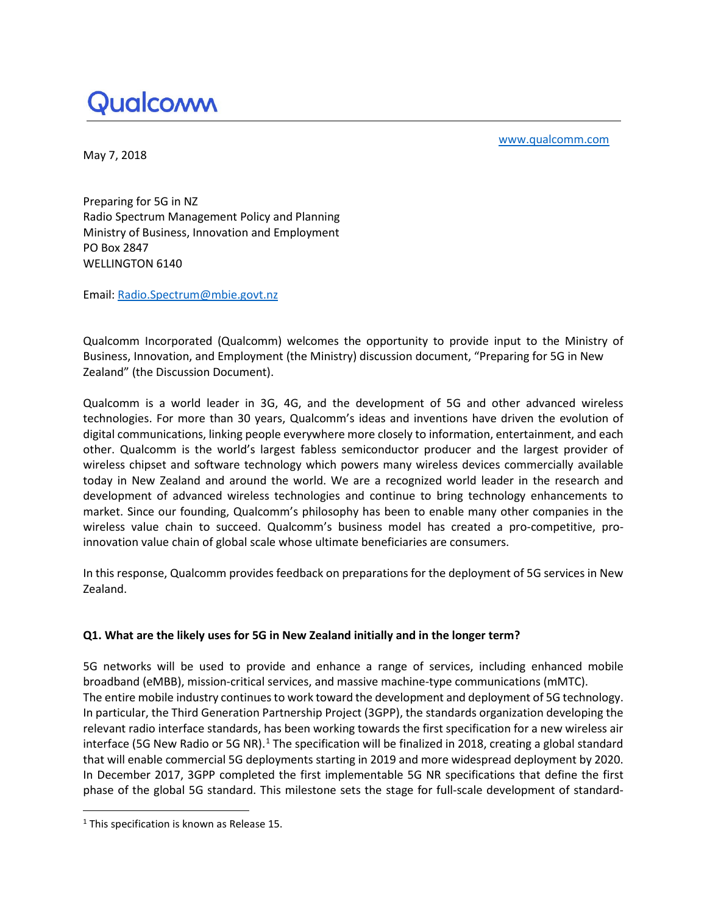# Qualcomm

[www.qualcomm.com](http://www.qualcomm.com/) 

May 7, 2018

Preparing for 5G in NZ Radio Spectrum Management Policy and Planning Ministry of Business, Innovation and Employment PO Box 2847 WELLINGTON 6140

Email: [Radio.Spectrum@mbie.govt.nz](mailto:Radio.Spectrum@mbie.govt.nz)

Qualcomm Incorporated (Qualcomm) welcomes the opportunity to provide input to the Ministry of Business, Innovation, and Employment (the Ministry) discussion document, "Preparing for 5G in New Zealand" (the Discussion Document).

Qualcomm is a world leader in 3G, 4G, and the development of 5G and other advanced wireless technologies. For more than 30 years, Qualcomm's ideas and inventions have driven the evolution of digital communications, linking people everywhere more closely to information, entertainment, and each other. Qualcomm is the world's largest fabless semiconductor producer and the largest provider of wireless chipset and software technology which powers many wireless devices commercially available today in New Zealand and around the world. We are a recognized world leader in the research and development of advanced wireless technologies and continue to bring technology enhancements to market. Since our founding, Qualcomm's philosophy has been to enable many other companies in the wireless value chain to succeed. Qualcomm's business model has created a pro-competitive, proinnovation value chain of global scale whose ultimate beneficiaries are consumers.

In this response, Qualcomm provides feedback on preparations for the deployment of 5G services in New Zealand.

# **Q1. What are the likely uses for 5G in New Zealand initially and in the longer term?**

5G networks will be used to provide and enhance a range of services, including enhanced mobile broadband (eMBB), mission-critical services, and massive machine-type communications (mMTC). The entire mobile industry continues to work toward the development and deployment of 5G technology. In particular, the Third Generation Partnership Project (3GPP), the standards organization developing the relevant radio interface standards, has been working towards the first specification for a new wireless air interface (5G New Radio or 5G NR).<sup>[1](#page-0-0)</sup> The specification will be finalized in 2018, creating a global standard that will enable commercial 5G deployments starting in 2019 and more widespread deployment by 2020. In December 2017, 3GPP completed the first implementable 5G NR specifications that define the first phase of the global 5G standard. This milestone sets the stage for full-scale development of standard-

<span id="page-0-0"></span><sup>&</sup>lt;sup>1</sup> This specification is known as Release 15.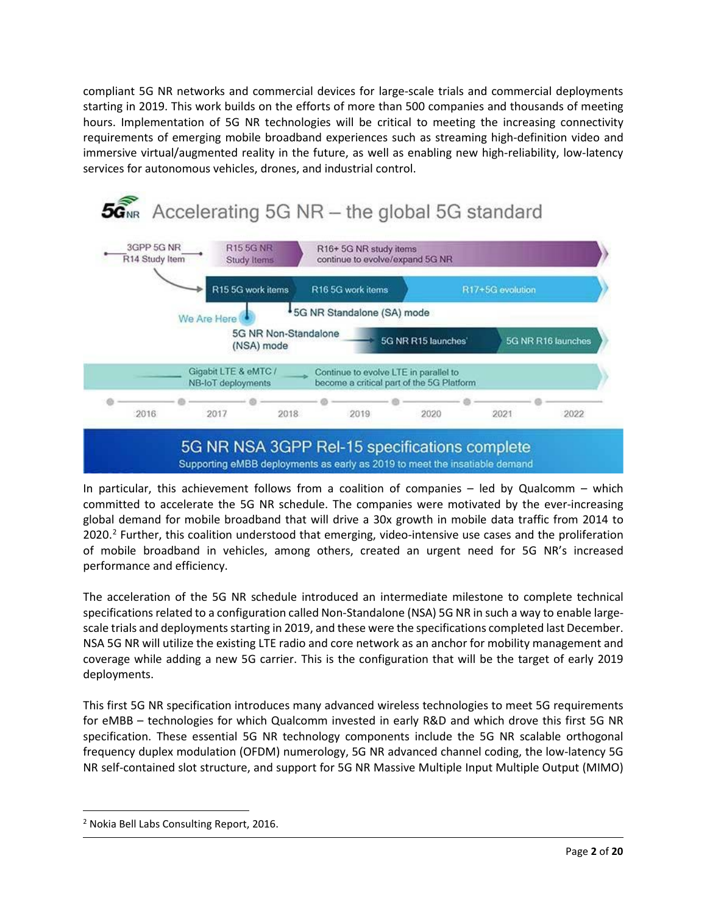compliant 5G NR networks and commercial devices for large-scale trials and commercial deployments starting in 2019. This work builds on the efforts of more than 500 companies and thousands of meeting hours. Implementation of 5G NR technologies will be critical to meeting the increasing connectivity requirements of emerging mobile broadband experiences such as streaming high-definition video and immersive virtual/augmented reality in the future, as well as enabling new high-reliability, low-latency services for autonomous vehicles, drones, and industrial control.



In particular, this achievement follows from a coalition of companies – led by Qualcomm – which committed to accelerate the 5G NR schedule. The companies were motivated by the ever-increasing global demand for mobile broadband that will drive a 30x growth in mobile data traffic from 2014 to  $2020<sup>2</sup>$  $2020<sup>2</sup>$  Further, this coalition understood that emerging, video-intensive use cases and the proliferation of mobile broadband in vehicles, among others, created an urgent need for 5G NR's increased performance and efficiency.

The acceleration of the 5G NR schedule introduced an intermediate milestone to complete technical specifications related to a configuration called Non-Standalone (NSA) 5G NR in such a way to enable largescale trials and deployments starting in 2019, and these were the specifications completed last December. NSA 5G NR will utilize the existing LTE radio and core network as an anchor for mobility management and coverage while adding a new 5G carrier. This is the configuration that will be the target of early 2019 deployments.

This first 5G NR specification introduces many advanced wireless technologies to meet 5G requirements for eMBB – technologies for which Qualcomm invested in early R&D and which drove this first 5G NR specification. These essential 5G NR technology components include the 5G NR scalable orthogonal frequency duplex modulation (OFDM) numerology, 5G NR advanced channel coding, the low-latency 5G NR self-contained slot structure, and support for 5G NR Massive Multiple Input Multiple Output (MIMO)

<span id="page-1-0"></span><sup>2</sup> Nokia Bell Labs Consulting Report, 2016.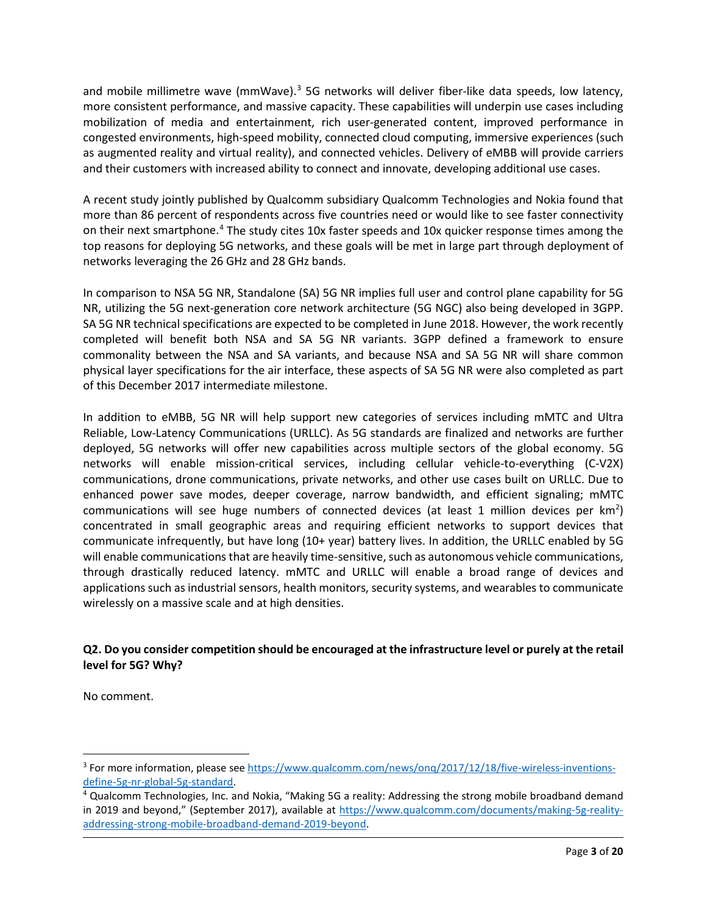and mobile millimetre wave (mmWave).<sup>3</sup> 5G networks will deliver fiber-like data speeds, low latency, more consistent performance, and massive capacity. These capabilities will underpin use cases including mobilization of media and entertainment, rich user-generated content, improved performance in congested environments, high-speed mobility, connected cloud computing, immersive experiences (such as augmented reality and virtual reality), and connected vehicles. Delivery of eMBB will provide carriers and their customers with increased ability to connect and innovate, developing additional use cases.

A recent study jointly published by Qualcomm subsidiary Qualcomm Technologies and Nokia found that more than 86 percent of respondents across five countries need or would like to see faster connectivity on their next smartphone.[4](#page-2-1) The study cites 10x faster speeds and 10x quicker response times among the top reasons for deploying 5G networks, and these goals will be met in large part through deployment of networks leveraging the 26 GHz and 28 GHz bands.

In comparison to NSA 5G NR, Standalone (SA) 5G NR implies full user and control plane capability for 5G NR, utilizing the 5G next-generation core network architecture (5G NGC) also being developed in 3GPP. SA 5G NR technical specifications are expected to be completed in June 2018. However, the work recently completed will benefit both NSA and SA 5G NR variants. 3GPP defined a framework to ensure commonality between the NSA and SA variants, and because NSA and SA 5G NR will share common physical layer specifications for the air interface, these aspects of SA 5G NR were also completed as part of this December 2017 intermediate milestone.

In addition to eMBB, 5G NR will help support new categories of services including mMTC and Ultra Reliable, Low-Latency Communications (URLLC). As 5G standards are finalized and networks are further deployed, 5G networks will offer new capabilities across multiple sectors of the global economy. 5G networks will enable mission-critical services, including cellular vehicle-to-everything (C-V2X) communications, drone communications, private networks, and other use cases built on URLLC. Due to enhanced power save modes, deeper coverage, narrow bandwidth, and efficient signaling; mMTC communications will see huge numbers of connected devices (at least 1 million devices per  $km^2$ ) concentrated in small geographic areas and requiring efficient networks to support devices that communicate infrequently, but have long (10+ year) battery lives. In addition, the URLLC enabled by 5G will enable communications that are heavily time-sensitive, such as autonomous vehicle communications, through drastically reduced latency. mMTC and URLLC will enable a broad range of devices and applications such as industrial sensors, health monitors, security systems, and wearables to communicate wirelessly on a massive scale and at high densities.

## **Q2. Do you consider competition should be encouraged at the infrastructure level or purely at the retail level for 5G? Why?**

No comment.

 $\overline{a}$ 

<span id="page-2-0"></span><sup>&</sup>lt;sup>3</sup> For more information, please see https://www.qualcomm.com/news/ong/2017/12/18/five-wireless-inventions[define-5g-nr-global-5g-standard.](https://www.qualcomm.com/news/onq/2017/12/18/five-wireless-inventions-define-5g-nr-global-5g-standard)<br><sup>4</sup> Qualcomm Technologies, Inc. and Nokia, "Making 5G a reality: Addressing the strong mobile broadband demand

<span id="page-2-1"></span>in 2019 and beyond," (September 2017), available at [https://www.qualcomm.com/documents/making-5g-reality](https://www.qualcomm.com/documents/making-5g-reality-addressing-strong-mobile-broadband-demand-2019-beyond)[addressing-strong-mobile-broadband-demand-2019-beyond.](https://www.qualcomm.com/documents/making-5g-reality-addressing-strong-mobile-broadband-demand-2019-beyond)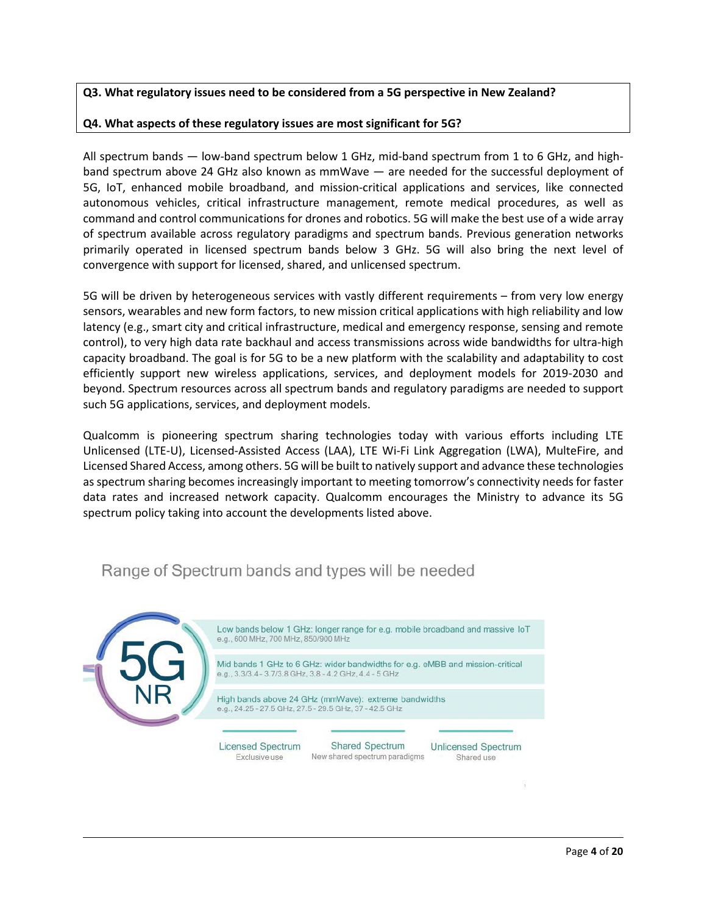## **Q3. What regulatory issues need to be considered from a 5G perspective in New Zealand?**

## **Q4. What aspects of these regulatory issues are most significant for 5G?**

All spectrum bands — low-band spectrum below 1 GHz, mid-band spectrum from 1 to 6 GHz, and highband spectrum above 24 GHz also known as mmWave — are needed for the successful deployment of 5G, IoT, enhanced mobile broadband, and mission-critical applications and services, like connected autonomous vehicles, critical infrastructure management, remote medical procedures, as well as command and control communications for drones and robotics. 5G will make the best use of a wide array of spectrum available across regulatory paradigms and spectrum bands. Previous generation networks primarily operated in licensed spectrum bands below 3 GHz. 5G will also bring the next level of convergence with support for licensed, shared, and unlicensed spectrum.

5G will be driven by heterogeneous services with vastly different requirements – from very low energy sensors, wearables and new form factors, to new mission critical applications with high reliability and low latency (e.g., smart city and critical infrastructure, medical and emergency response, sensing and remote control), to very high data rate backhaul and access transmissions across wide bandwidths for ultra-high capacity broadband. The goal is for 5G to be a new platform with the scalability and adaptability to cost efficiently support new wireless applications, services, and deployment models for 2019-2030 and beyond. Spectrum resources across all spectrum bands and regulatory paradigms are needed to support such 5G applications, services, and deployment models.

Qualcomm is pioneering spectrum sharing technologies today with various efforts including LTE Unlicensed (LTE-U), Licensed-Assisted Access (LAA), LTE Wi-Fi Link Aggregation (LWA), MulteFire, and Licensed Shared Access, among others. 5G will be built to natively support and advance these technologies as spectrum sharing becomes increasingly important to meeting tomorrow's connectivity needs for faster data rates and increased network capacity. Qualcomm encourages the Ministry to advance its 5G spectrum policy taking into account the developments listed above.

## Low bands below 1 GHz: longer range for e.g. mobile broadband and massive IoT e.g., 600 MHz, 700 MHz, 850/900 MHz Mid bands 1 GHz to 6 GHz: wider bandwidths for e.g. eMBB and mission-critical e.g., 3.3/3.4 - 3.7/3.8 GHz, 3.8 - 4.2 GHz, 4.4 - 5 GHz High bands above 24 GHz (mmWave): extreme bandwidths e.g., 24.25 - 27.5 GHz, 27.5 - 29.5 GHz, 37 - 42.5 GHz **Licensed Spectrum** Shared Spectrum **Unlicensed Spectrum** New shared spectrum paradigms Exclusive use Shared use

# Range of Spectrum bands and types will be needed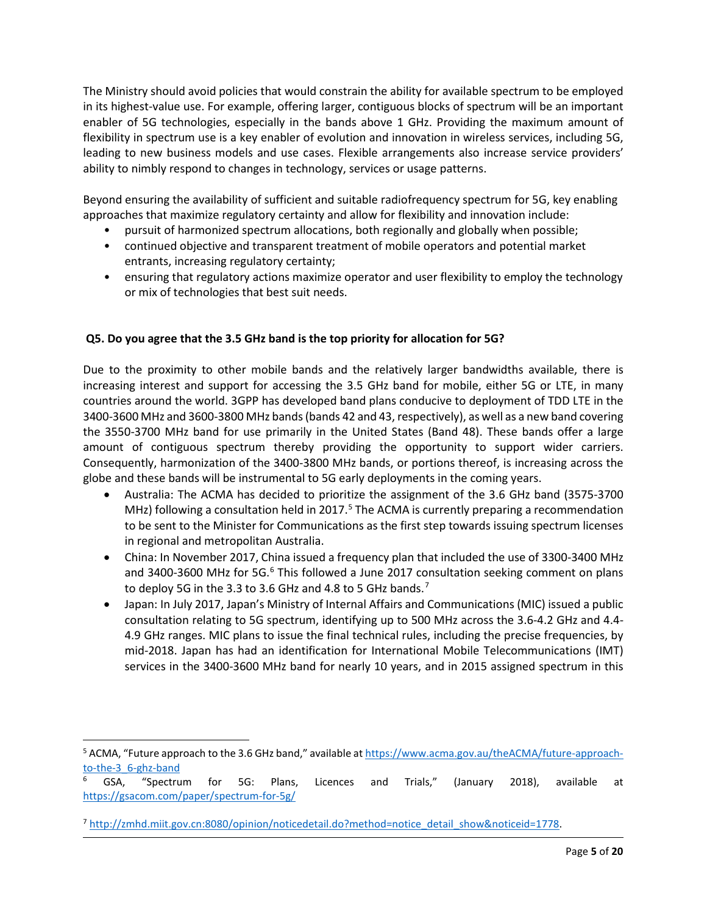The Ministry should avoid policies that would constrain the ability for available spectrum to be employed in its highest-value use. For example, offering larger, contiguous blocks of spectrum will be an important enabler of 5G technologies, especially in the bands above 1 GHz. Providing the maximum amount of flexibility in spectrum use is a key enabler of evolution and innovation in wireless services, including 5G, leading to new business models and use cases. Flexible arrangements also increase service providers' ability to nimbly respond to changes in technology, services or usage patterns.

Beyond ensuring the availability of sufficient and suitable radiofrequency spectrum for 5G, key enabling approaches that maximize regulatory certainty and allow for flexibility and innovation include:

- pursuit of harmonized spectrum allocations, both regionally and globally when possible;
- continued objective and transparent treatment of mobile operators and potential market entrants, increasing regulatory certainty;
- ensuring that regulatory actions maximize operator and user flexibility to employ the technology or mix of technologies that best suit needs.

## **Q5. Do you agree that the 3.5 GHz band is the top priority for allocation for 5G?**

Due to the proximity to other mobile bands and the relatively larger bandwidths available, there is increasing interest and support for accessing the 3.5 GHz band for mobile, either 5G or LTE, in many countries around the world. 3GPP has developed band plans conducive to deployment of TDD LTE in the 3400-3600 MHz and 3600-3800 MHz bands (bands 42 and 43, respectively), as well as a new band covering the 3550-3700 MHz band for use primarily in the United States (Band 48). These bands offer a large amount of contiguous spectrum thereby providing the opportunity to support wider carriers. Consequently, harmonization of the 3400-3800 MHz bands, or portions thereof, is increasing across the globe and these bands will be instrumental to 5G early deployments in the coming years.

- Australia: The ACMA has decided to prioritize the assignment of the 3.6 GHz band (3575-3700 MHz) following a consultation held in 2017.<sup>[5](#page-4-0)</sup> The ACMA is currently preparing a recommendation to be sent to the Minister for Communications as the first step towards issuing spectrum licenses in regional and metropolitan Australia.
- China: In November 2017, China issued a frequency plan that included the use of 3300-3400 MHz and 3400-3[6](#page-4-1)00 MHz for 5G.<sup>6</sup> This followed a June 2017 consultation seeking comment on plans to deploy 5G in the 3.3 to 3.6 GHz and 4.8 to 5 GHz bands.<sup>[7](#page-4-2)</sup>
- Japan: In July 2017, Japan's Ministry of Internal Affairs and Communications (MIC) issued a public consultation relating to 5G spectrum, identifying up to 500 MHz across the 3.6-4.2 GHz and 4.4- 4.9 GHz ranges. MIC plans to issue the final technical rules, including the precise frequencies, by mid-2018. Japan has had an identification for International Mobile Telecommunications (IMT) services in the 3400-3600 MHz band for nearly 10 years, and in 2015 assigned spectrum in this

<span id="page-4-0"></span><sup>&</sup>lt;sup>5</sup> ACMA, "Future approach to the 3.6 GHz band," available a[t https://www.acma.gov.au/theACMA/future-approach-](https://www.acma.gov.au/theACMA/future-approach-to-the-3_6-ghz-band)

<span id="page-4-1"></span><sup>&</sup>lt;u>to-the-3\_6-ghz-band</u><br><sup>6</sup> GSA, "Spectrum for 5G: Plans, Licences and Trials," (January 2018), available at <https://gsacom.com/paper/spectrum-for-5g/>

<span id="page-4-2"></span><sup>7</sup> [http://zmhd.miit.gov.cn:8080/opinion/noticedetail.do?method=notice\\_detail\\_show&noticeid=1778.](http://zmhd.miit.gov.cn:8080/opinion/noticedetail.do?method=notice_detail_show¬iceid=1778)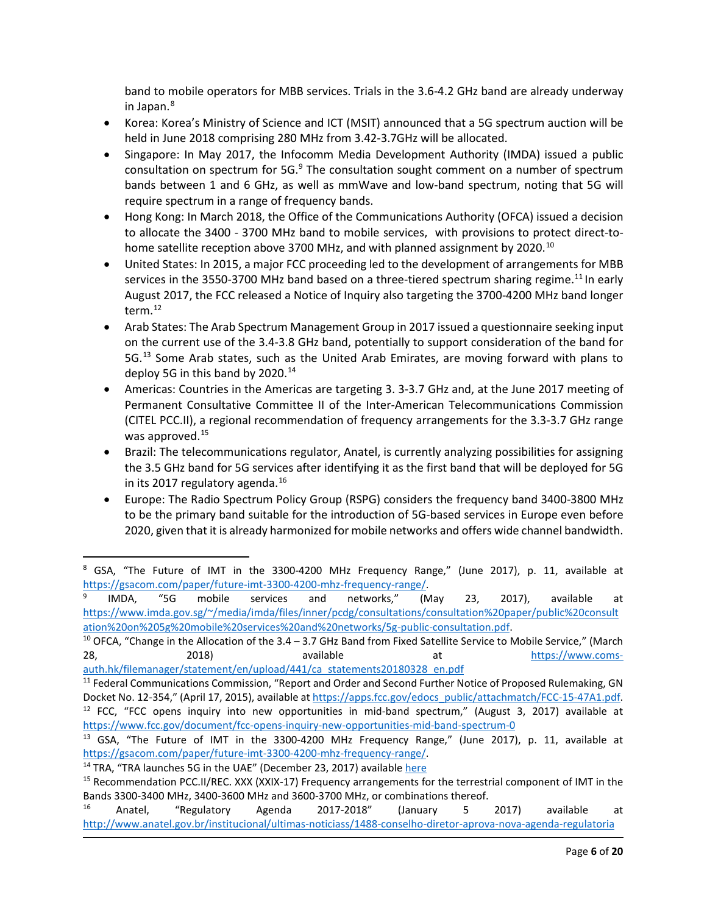band to mobile operators for MBB services. Trials in the 3.6-4.2 GHz band are already underway in Japan. $8$ 

- Korea: Korea's Ministry of Science and ICT (MSIT) announced that a 5G spectrum auction will be held in June 2018 comprising 280 MHz from 3.42-3.7GHz will be allocated.
- Singapore: In May 2017, the Infocomm Media Development Authority (IMDA) issued a public consultation on spectrum for  $5G<sup>9</sup>$  $5G<sup>9</sup>$  $5G<sup>9</sup>$  The consultation sought comment on a number of spectrum bands between 1 and 6 GHz, as well as mmWave and low-band spectrum, noting that 5G will require spectrum in a range of frequency bands.
- Hong Kong: In March 2018, the Office of the Communications Authority (OFCA) issued a decision to allocate the 3400 - 3700 MHz band to mobile services, with provisions to protect direct-to-home satellite reception above 3700 MHz, and with planned assignment by 2020.<sup>[10](#page-5-2)</sup>
- United States: In 2015, a major FCC proceeding led to the development of arrangements for MBB services in the 3550-3700 MHz band based on a three-tiered spectrum sharing regime.<sup>[11](#page-5-3)</sup> In early August 2017, the FCC released a Notice of Inquiry also targeting the 3700-4200 MHz band longer term.[12](#page-5-4)
- Arab States: The Arab Spectrum Management Group in 2017 issued a questionnaire seeking input on the current use of the 3.4-3.8 GHz band, potentially to support consideration of the band for 5G.<sup>[13](#page-5-5)</sup> Some Arab states, such as the United Arab Emirates, are moving forward with plans to deploy 5G in this band by 2020. $14$
- Americas: Countries in the Americas are targeting 3. 3-3.7 GHz and, at the June 2017 meeting of Permanent Consultative Committee II of the Inter-American Telecommunications Commission (CITEL PCC.II), a regional recommendation of frequency arrangements for the 3.3-3.7 GHz range was approved.<sup>[15](#page-5-7)</sup>
- Brazil: The telecommunications regulator, Anatel, is currently analyzing possibilities for assigning the 3.5 GHz band for 5G services after identifying it as the first band that will be deployed for 5G in its 2017 regulatory agenda.<sup>[16](#page-5-8)</sup>
- Europe: The Radio Spectrum Policy Group (RSPG) considers the frequency band 3400-3800 MHz to be the primary band suitable for the introduction of 5G-based services in Europe even before 2020, given that it is already harmonized for mobile networks and offers wide channel bandwidth.

<span id="page-5-2"></span>28, 2018) available at thtps://www.coms-

<span id="page-5-0"></span><sup>&</sup>lt;sup>8</sup> GSA, "The Future of IMT in the 3300-4200 MHz Frequency Range," (June 2017), p. 11, available at [https://gsacom.com/paper/future-imt-3300-4200-mhz-frequency-range/.](https://gsacom.com/paper/future-imt-3300-4200-mhz-frequency-range/)<br><sup>9</sup> IMDA, "5G mobile services and networks," (May

<span id="page-5-1"></span>IMDA, "5G mobile services and networks," (May 23, 2017), available at [https://www.imda.gov.sg/~/media/imda/files/inner/pcdg/consultations/consultation%20paper/public%20consult](https://www.imda.gov.sg/%7E/media/imda/files/inner/pcdg/consultations/consultation%20paper/public%20consultation%20on%205g%20mobile%20services%20and%20networks/5g-public-consultation.pdf) [ation%20on%205g%20mobile%20services%20and%20networks/5g-public-consultation.pdf.](https://www.imda.gov.sg/%7E/media/imda/files/inner/pcdg/consultations/consultation%20paper/public%20consultation%20on%205g%20mobile%20services%20and%20networks/5g-public-consultation.pdf)<br><sup>10</sup> OFCA, "Change in the Allocation of the 3.4 – 3.7 GHz Band from Fixed Satellite Service to Mobile Service," (March

<span id="page-5-3"></span>auth.hk/filemanager/statement/en/upload/441/ca\_statements20180328\_en.pdf<br><sup>11</sup> Federal Communications Commission, "Report and Order and Second Further Notice of Proposed Rulemaking, GN Docket No. 12-354," (April 17, 2015), available at [https://apps.fcc.gov/edocs\\_public/attachmatch/FCC-15-47A1.pdf.](https://apps.fcc.gov/edocs_public/attachmatch/FCC-15-47A1.pdf) 12 FCC, "FCC opens inquiry into new opportunities in mid-band spectrum," (August 3, 2017) available at https://www.fcc.gov/document/fcc-opens-inquiry-new-opportunities-mid-band-spectrum-0<br><sup>13</sup> GSA, "The Future of IMT in the 3300-4200 MHz Frequency Range," (June 2017), p. 11, available at

<span id="page-5-5"></span><span id="page-5-4"></span>[https://gsacom.com/paper/future-imt-3300-4200-mhz-frequency-range/.](https://gsacom.com/paper/future-imt-3300-4200-mhz-frequency-range/)<br><sup>14</sup> TRA, "TRA launches 5G in the UAE" (December 23, 2017) available <u>here</u><br><sup>15</sup> Recommendation PCC.II/REC. XXX (XXIX-17) Frequency arrangements for the t

<span id="page-5-6"></span>

<span id="page-5-7"></span>Bands 3300-3400 MHz, 3400-3600 MHz and 3600-3700 MHz, or combinations thereof.

<span id="page-5-8"></span><sup>&</sup>lt;sup>16</sup> Anatel, "Regulatory Agenda 2017-2018" (January 5 2017) available at <http://www.anatel.gov.br/institucional/ultimas-noticiass/1488-conselho-diretor-aprova-nova-agenda-regulatoria>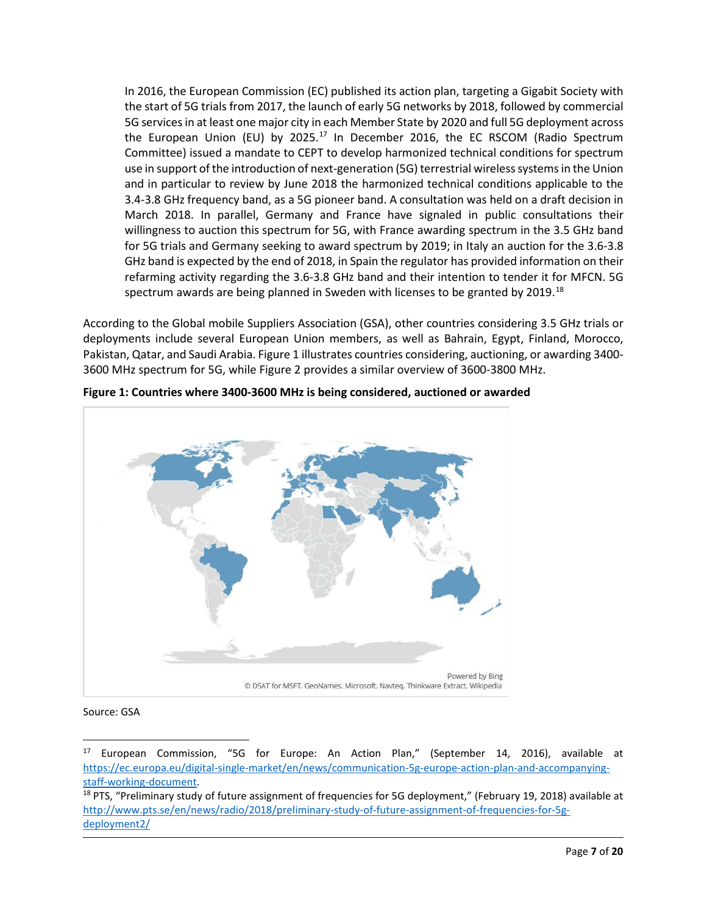In 2016, the European Commission (EC) published its action plan, targeting a Gigabit Society with the start of 5G trials from 2017, the launch of early 5G networks by 2018, followed by commercial 5G services in at least one major city in each Member State by 2020 and full 5G deployment across the European Union (EU) by 2025.<sup>[17](#page-6-1)</sup> In December 2016, the EC RSCOM (Radio Spectrum Committee) issued a mandate to CEPT to develop harmonized technical conditions for spectrum use in support of the introduction of next-generation (5G) terrestrial wireless systems in the Union and in particular to review by June 2018 the harmonized technical conditions applicable to the 3.4-3.8 GHz frequency band, as a 5G pioneer band. A consultation was held on a draft decision in March 2018. In parallel, Germany and France have signaled in public consultations their willingness to auction this spectrum for 5G, with France awarding spectrum in the 3.5 GHz band for 5G trials and Germany seeking to award spectrum by 2019; in Italy an auction for the 3.6-3.8 GHz band is expected by the end of 2018, in Spain the regulator has provided information on their refarming activity regarding the 3.6-3.8 GHz band and their intention to tender it for MFCN. 5G spectrum awards are being planned in Sweden with licenses to be granted by 2019.<sup>[18](#page-6-2)</sup>

According to the Global mobile Suppliers Association (GSA), other countries considering 3.5 GHz trials or deployments include several European Union members, as well as Bahrain, Egypt, Finland, Morocco, Pakistan, Qatar, and Saudi Arabia[. Figure 1](#page-6-0) illustrates countries considering, auctioning, or awarding 3400- 3600 MHz spectrum for 5G, whil[e Figure 2](#page-7-0) provides a similar overview of 3600-3800 MHz.



<span id="page-6-0"></span>**Figure 1: Countries where 3400-3600 MHz is being considered, auctioned or awarded**

## Source: GSA

<span id="page-6-1"></span><sup>17</sup> European Commission, "5G for Europe: An Action Plan," (September 14, 2016), available at [https://ec.europa.eu/digital-single-market/en/news/communication-5g-europe-action-plan-and-accompanying](https://ec.europa.eu/digital-single-market/en/news/communication-5g-europe-action-plan-and-accompanying-staff-working-document)[staff-working-document.](https://ec.europa.eu/digital-single-market/en/news/communication-5g-europe-action-plan-and-accompanying-staff-working-document)<br><sup>18</sup> PTS, "Preliminary study of future assignment of frequencies for 5G deployment," (February 19, 2018) available at

<span id="page-6-2"></span>[http://www.pts.se/en/news/radio/2018/preliminary-study-of-future-assignment-of-frequencies-for-5g](http://www.pts.se/en/news/radio/2018/preliminary-study-of-future-assignment-of-frequencies-for-5g-deployment2/)[deployment2/](http://www.pts.se/en/news/radio/2018/preliminary-study-of-future-assignment-of-frequencies-for-5g-deployment2/)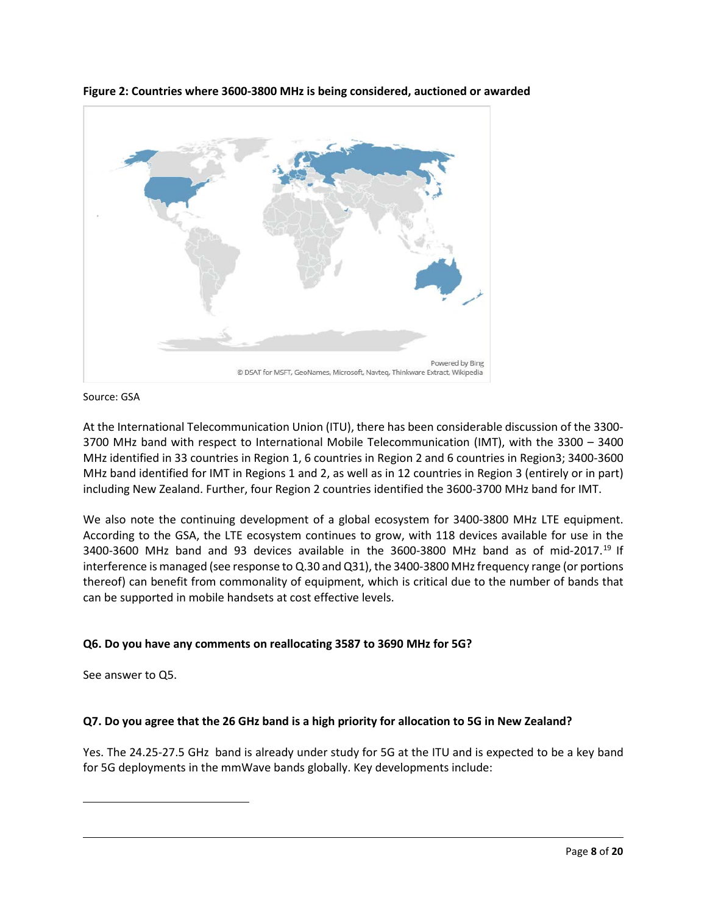

<span id="page-7-0"></span>**Figure 2: Countries where 3600-3800 MHz is being considered, auctioned or awarded**

Source: GSA

At the International Telecommunication Union (ITU), there has been considerable discussion of the 3300- 3700 MHz band with respect to International Mobile Telecommunication (IMT), with the 3300 – 3400 MHz identified in 33 countries in Region 1, 6 countries in Region 2 and 6 countries in Region3; 3400-3600 MHz band identified for IMT in Regions 1 and 2, as well as in 12 countries in Region 3 (entirely or in part) including New Zealand. Further, four Region 2 countries identified the 3600-3700 MHz band for IMT.

We also note the continuing development of a global ecosystem for 3400-3800 MHz LTE equipment. According to the GSA, the LTE ecosystem continues to grow, with 118 devices available for use in the 3400-3600 MHz band and 93 devices available in the 3600-3800 MHz band as of mid-2017. [19](#page-7-1) If interference is managed (see response to Q.30 and Q31), the 3400-3800 MHz frequency range (or portions thereof) can benefit from commonality of equipment, which is critical due to the number of bands that can be supported in mobile handsets at cost effective levels.

# **Q6. Do you have any comments on reallocating 3587 to 3690 MHz for 5G?**

See answer to Q5.

<span id="page-7-1"></span>l

# **Q7. Do you agree that the 26 GHz band is a high priority for allocation to 5G in New Zealand?**

Yes. The 24.25-27.5 GHz band is already under study for 5G at the ITU and is expected to be a key band for 5G deployments in the mmWave bands globally. Key developments include: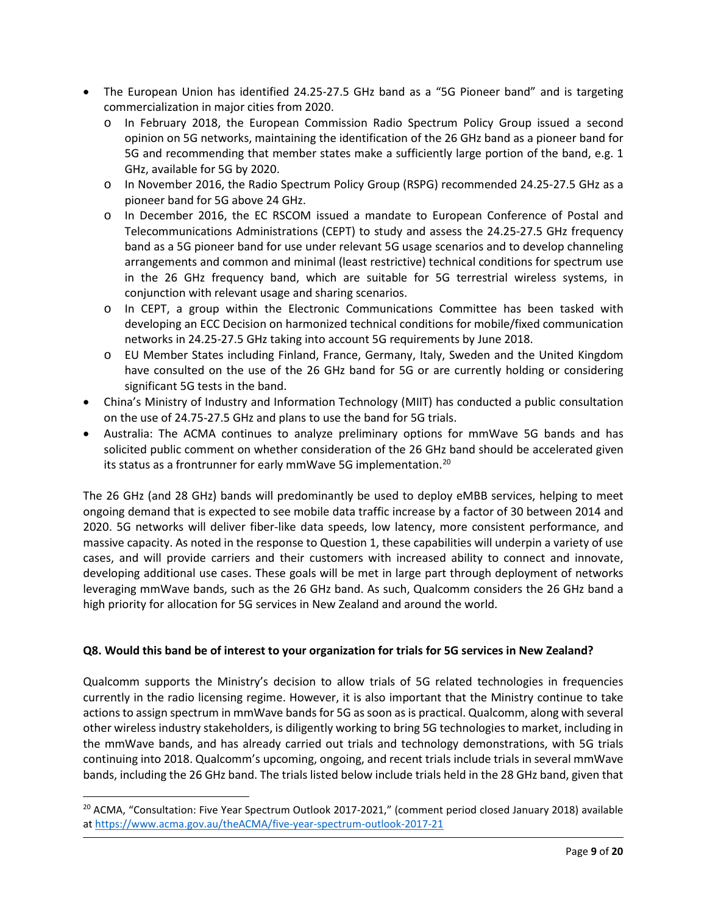- The European Union has identified 24.25-27.5 GHz band as a "5G Pioneer band" and is targeting commercialization in major cities from 2020.
	- o In February 2018, the European Commission Radio Spectrum Policy Group issued a second opinion on 5G networks, maintaining the identification of the 26 GHz band as a pioneer band for 5G and recommending that member states make a sufficiently large portion of the band, e.g. 1 GHz, available for 5G by 2020.
	- o In November 2016, the Radio Spectrum Policy Group (RSPG) recommended 24.25-27.5 GHz as a pioneer band for 5G above 24 GHz.
	- o In December 2016, the EC RSCOM issued a mandate to European Conference of Postal and Telecommunications Administrations (CEPT) to study and assess the 24.25-27.5 GHz frequency band as a 5G pioneer band for use under relevant 5G usage scenarios and to develop channeling arrangements and common and minimal (least restrictive) technical conditions for spectrum use in the 26 GHz frequency band, which are suitable for 5G terrestrial wireless systems, in conjunction with relevant usage and sharing scenarios.
	- o In CEPT, a group within the Electronic Communications Committee has been tasked with developing an ECC Decision on harmonized technical conditions for mobile/fixed communication networks in 24.25-27.5 GHz taking into account 5G requirements by June 2018.
	- o EU Member States including Finland, France, Germany, Italy, Sweden and the United Kingdom have consulted on the use of the 26 GHz band for 5G or are currently holding or considering significant 5G tests in the band.
- China's Ministry of Industry and Information Technology (MIIT) has conducted a public consultation on the use of 24.75-27.5 GHz and plans to use the band for 5G trials.
- Australia: The ACMA continues to analyze preliminary options for mmWave 5G bands and has solicited public comment on whether consideration of the 26 GHz band should be accelerated given its status as a frontrunner for early mmWave 5G implementation.<sup>[20](#page-8-0)</sup>

The 26 GHz (and 28 GHz) bands will predominantly be used to deploy eMBB services, helping to meet ongoing demand that is expected to see mobile data traffic increase by a factor of 30 between 2014 and 2020. 5G networks will deliver fiber-like data speeds, low latency, more consistent performance, and massive capacity. As noted in the response to Question 1, these capabilities will underpin a variety of use cases, and will provide carriers and their customers with increased ability to connect and innovate, developing additional use cases. These goals will be met in large part through deployment of networks leveraging mmWave bands, such as the 26 GHz band. As such, Qualcomm considers the 26 GHz band a high priority for allocation for 5G services in New Zealand and around the world.

# **Q8. Would this band be of interest to your organization for trials for 5G services in New Zealand?**

Qualcomm supports the Ministry's decision to allow trials of 5G related technologies in frequencies currently in the radio licensing regime. However, it is also important that the Ministry continue to take actions to assign spectrum in mmWave bands for 5G as soon as is practical. Qualcomm, along with several other wireless industry stakeholders, is diligently working to bring 5G technologies to market, including in the mmWave bands, and has already carried out trials and technology demonstrations, with 5G trials continuing into 2018. Qualcomm's upcoming, ongoing, and recent trials include trials in several mmWave bands, including the 26 GHz band. The trials listed below include trials held in the 28 GHz band, given that

 $\overline{a}$ 

<span id="page-8-0"></span><sup>&</sup>lt;sup>20</sup> ACMA, "Consultation: Five Year Spectrum Outlook 2017-2021," (comment period closed January 2018) available a[t https://www.acma.gov.au/theACMA/five-year-spectrum-outlook-2017-21](https://www.acma.gov.au/theACMA/five-year-spectrum-outlook-2017-21)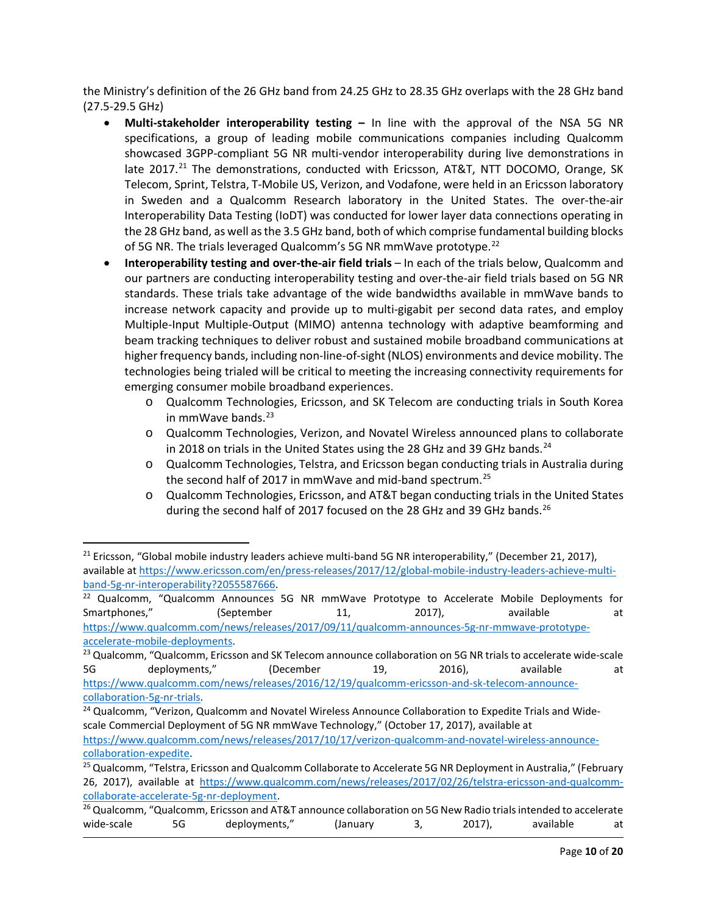the Ministry's definition of the 26 GHz band from 24.25 GHz to 28.35 GHz overlaps with the 28 GHz band (27.5-29.5 GHz)

- **Multi-stakeholder interoperability testing –** In line with the approval of the NSA 5G NR specifications, a group of leading mobile communications companies including Qualcomm showcased 3GPP-compliant 5G NR multi-vendor interoperability during live demonstrations in late  $2017<sup>21</sup>$  $2017<sup>21</sup>$  $2017<sup>21</sup>$  The demonstrations, conducted with Ericsson, AT&T, NTT DOCOMO, Orange, SK Telecom, Sprint, Telstra, T-Mobile US, Verizon, and Vodafone, were held in an Ericsson laboratory in Sweden and a Qualcomm Research laboratory in the United States. The over-the-air Interoperability Data Testing (IoDT) was conducted for lower layer data connections operating in the 28 GHz band, as well as the 3.5 GHz band, both of which comprise fundamental building blocks of 5G NR. The trials leveraged Qualcomm's 5G NR mmWave prototype.<sup>[22](#page-9-1)</sup>
- **Interoperability testing and over-the-air field trials** In each of the trials below, Qualcomm and our partners are conducting interoperability testing and over-the-air field trials based on 5G NR standards. These trials take advantage of the wide bandwidths available in mmWave bands to increase network capacity and provide up to multi-gigabit per second data rates, and employ Multiple-Input Multiple-Output (MIMO) antenna technology with adaptive beamforming and beam tracking techniques to deliver robust and sustained mobile broadband communications at higher frequency bands, including non-line-of-sight (NLOS) environments and device mobility. The technologies being trialed will be critical to meeting the increasing connectivity requirements for emerging consumer mobile broadband experiences.
	- o Qualcomm Technologies, Ericsson, and SK Telecom are conducting trials in South Korea in mmWave bands. [23](#page-9-2)
	- o Qualcomm Technologies, Verizon, and Novatel Wireless announced plans to collaborate in 2018 on trials in the United States using the 28 GHz and 39 GHz bands.<sup>[24](#page-9-3)</sup>
	- o Qualcomm Technologies, Telstra, and Ericsson began conducting trials in Australia during the second half of 2017 in mmWave and mid-band spectrum.[25](#page-9-4)
	- o Qualcomm Technologies, Ericsson, and AT&T began conducting trials in the United States during the second half of 2017 focused on the 28 GHz and 39 GHz bands.<sup>[26](#page-9-5)</sup>

 $\overline{\phantom{a}}$ 

[https://www.qualcomm.com/news/releases/2017/09/11/qualcomm-announces-5g-nr-mmwave-prototype](https://www.qualcomm.com/news/releases/2017/09/11/qualcomm-announces-5g-nr-mmwave-prototype-accelerate-mobile-deployments)accelerate-mobile-deployments.<br><sup>23</sup> Qualcomm, "Qualcomm, Ericsson and SK Telecom announce collaboration on 5G NR trials to accelerate wide-scale

<span id="page-9-0"></span><sup>&</sup>lt;sup>21</sup> Ericsson, "Global mobile industry leaders achieve multi-band 5G NR interoperability," (December 21, 2017), available a[t https://www.ericsson.com/en/press-releases/2017/12/global-mobile-industry-leaders-achieve-multi](https://www.ericsson.com/en/press-releases/2017/12/global-mobile-industry-leaders-achieve-multi-band-5g-nr-interoperability?2055587666)[band-5g-nr-interoperability?2055587666.](https://www.ericsson.com/en/press-releases/2017/12/global-mobile-industry-leaders-achieve-multi-band-5g-nr-interoperability?2055587666)<br><sup>22</sup> Qualcomm, "Qualcomm Announces 5G NR mmWave Prototype to Accelerate Mobile Deployments for

<span id="page-9-1"></span>Smartphones," (September 11, 2017), available at the state at

<span id="page-9-2"></span><sup>5</sup>G deployments," (December 19, 2016), available at [https://www.qualcomm.com/news/releases/2016/12/19/qualcomm-ericsson-and-sk-telecom-announce-](https://www.qualcomm.com/news/releases/2016/12/19/qualcomm-ericsson-and-sk-telecom-announce-collaboration-5g-nr-trials)

<span id="page-9-3"></span>[collaboration-5g-nr-trials.](https://www.qualcomm.com/news/releases/2016/12/19/qualcomm-ericsson-and-sk-telecom-announce-collaboration-5g-nr-trials)<br><sup>24</sup> Qualcomm, "Verizon, Qualcomm and Novatel Wireless Announce Collaboration to Expedite Trials and Widescale Commercial Deployment of 5G NR mmWave Technology," (October 17, 2017), available at

[https://www.qualcomm.com/news/releases/2017/10/17/verizon-qualcomm-and-novatel-wireless-announce](https://www.qualcomm.com/news/releases/2017/10/17/verizon-qualcomm-and-novatel-wireless-announce-collaboration-expedite)collaboration-expedite.<br><sup>25</sup> Qualcomm, "Telstra, Ericsson and Qualcomm Collaborate to Accelerate 5G NR Deployment in Australia," (February

<span id="page-9-4"></span><sup>26, 2017),</sup> available at [https://www.qualcomm.com/news/releases/2017/02/26/telstra-ericsson-and-qualcomm](https://www.qualcomm.com/news/releases/2017/02/26/telstra-ericsson-and-qualcomm-collaborate-accelerate-5g-nr-deployment)[collaborate-accelerate-5g-nr-deployment.](https://www.qualcomm.com/news/releases/2017/02/26/telstra-ericsson-and-qualcomm-collaborate-accelerate-5g-nr-deployment)<br><sup>26</sup> Qualcomm, "Qualcomm, Ericsson and AT&T announce collaboration on 5G New Radio trials intended to accelerate

<span id="page-9-5"></span>wide-scale 5G deployments," (January 3, 2017), available at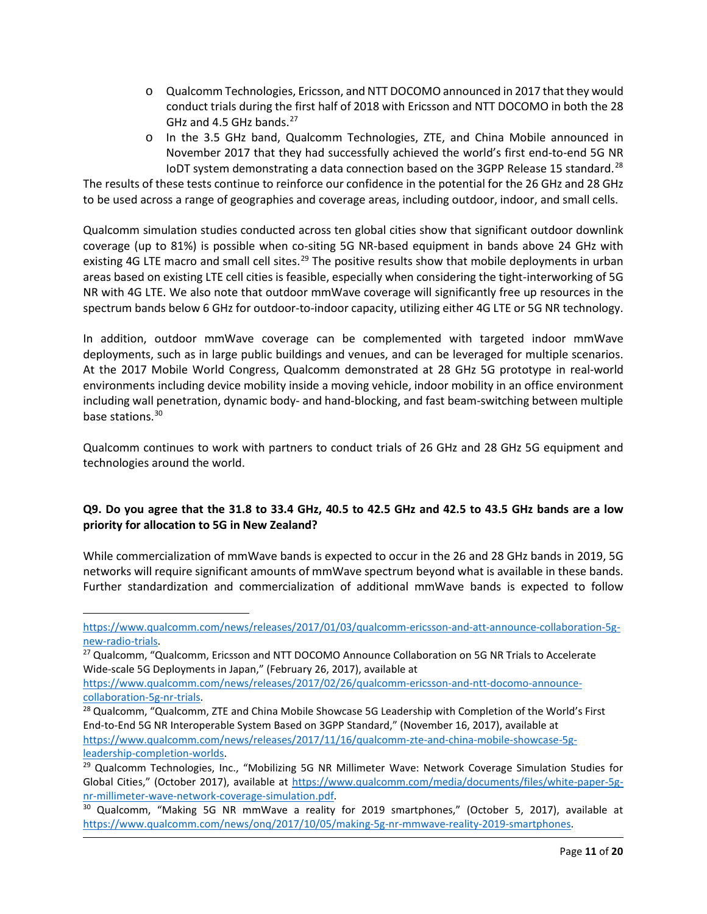- o Qualcomm Technologies, Ericsson, and NTT DOCOMO announced in 2017 that they would conduct trials during the first half of 2018 with Ericsson and NTT DOCOMO in both the 28 GHz and 4.5 GHz bands. $27$
- o In the 3.5 GHz band, Qualcomm Technologies, ZTE, and China Mobile announced in November 2017 that they had successfully achieved the world's first end-to-end 5G NR IoDT system demonstrating a data connection based on the 3GPP Release 15 standard.<sup>28</sup>

The results of these tests continue to reinforce our confidence in the potential for the 26 GHz and 28 GHz to be used across a range of geographies and coverage areas, including outdoor, indoor, and small cells.

Qualcomm simulation studies conducted across ten global cities show that significant outdoor downlink coverage (up to 81%) is possible when co-siting 5G NR-based equipment in bands above 24 GHz with existing 4G LTE macro and small cell sites.<sup>[29](#page-10-2)</sup> The positive results show that mobile deployments in urban areas based on existing LTE cell cities is feasible, especially when considering the tight-interworking of 5G NR with 4G LTE. We also note that outdoor mmWave coverage will significantly free up resources in the spectrum bands below 6 GHz for outdoor-to-indoor capacity, utilizing either 4G LTE or 5G NR technology.

In addition, outdoor mmWave coverage can be complemented with targeted indoor mmWave deployments, such as in large public buildings and venues, and can be leveraged for multiple scenarios. At the 2017 Mobile World Congress, Qualcomm demonstrated at 28 GHz 5G prototype in real-world environments including device mobility inside a moving vehicle, indoor mobility in an office environment including wall penetration, dynamic body- and hand-blocking, and fast beam-switching between multiple base stations.<sup>[30](#page-10-3)</sup>

Qualcomm continues to work with partners to conduct trials of 26 GHz and 28 GHz 5G equipment and technologies around the world.

# **Q9. Do you agree that the 31.8 to 33.4 GHz, 40.5 to 42.5 GHz and 42.5 to 43.5 GHz bands are a low priority for allocation to 5G in New Zealand?**

While commercialization of mmWave bands is expected to occur in the 26 and 28 GHz bands in 2019, 5G networks will require significant amounts of mmWave spectrum beyond what is available in these bands. Further standardization and commercialization of additional mmWave bands is expected to follow

[https://www.qualcomm.com/news/releases/2017/01/03/qualcomm-ericsson-and-att-announce-collaboration-5g](https://www.qualcomm.com/news/releases/2017/01/03/qualcomm-ericsson-and-att-announce-collaboration-5g-new-radio-trials)[new-radio-trials.](https://www.qualcomm.com/news/releases/2017/01/03/qualcomm-ericsson-and-att-announce-collaboration-5g-new-radio-trials)<br><sup>27</sup> Qualcomm, "Qualcomm, Ericsson and NTT DOCOMO Announce Collaboration on 5G NR Trials to Accelerate

<span id="page-10-0"></span>Wide-scale 5G Deployments in Japan," (February 26, 2017), available at

[https://www.qualcomm.com/news/releases/2017/02/26/qualcomm-ericsson-and-ntt-docomo-announce](https://www.qualcomm.com/news/releases/2017/02/26/qualcomm-ericsson-and-ntt-docomo-announce-collaboration-5g-nr-trials)[collaboration-5g-nr-trials.](https://www.qualcomm.com/news/releases/2017/02/26/qualcomm-ericsson-and-ntt-docomo-announce-collaboration-5g-nr-trials)<br><sup>28</sup> Qualcomm, "Qualcomm, ZTE and China Mobile Showcase 5G Leadership with Completion of the World's First

<span id="page-10-1"></span>End-to-End 5G NR Interoperable System Based on 3GPP Standard," (November 16, 2017), available at [https://www.qualcomm.com/news/releases/2017/11/16/qualcomm-zte-and-china-mobile-showcase-5g-](https://www.qualcomm.com/news/releases/2017/11/16/qualcomm-zte-and-china-mobile-showcase-5g-leadership-completion-worlds)

<span id="page-10-2"></span>[leadership-completion-worlds.](https://www.qualcomm.com/news/releases/2017/11/16/qualcomm-zte-and-china-mobile-showcase-5g-leadership-completion-worlds)<br><sup>29</sup> Qualcomm Technologies, Inc., "Mobilizing 5G NR Millimeter Wave: Network Coverage Simulation Studies for Global Cities," (October 2017), available at [https://www.qualcomm.com/media/documents/files/white-paper-5g](https://www.qualcomm.com/media/documents/files/white-paper-5g-nr-millimeter-wave-network-coverage-simulation.pdf)[nr-millimeter-wave-network-coverage-simulation.pdf.](https://www.qualcomm.com/media/documents/files/white-paper-5g-nr-millimeter-wave-network-coverage-simulation.pdf)<br><sup>30</sup> Qualcomm, "Making 5G NR mmWave a reality for 2019 smartphones," (October 5, 2017), available at

<span id="page-10-3"></span>[https://www.qualcomm.com/news/onq/2017/10/05/making-5g-nr-mmwave-reality-2019-smartphones.](https://www.qualcomm.com/news/onq/2017/10/05/making-5g-nr-mmwave-reality-2019-smartphones)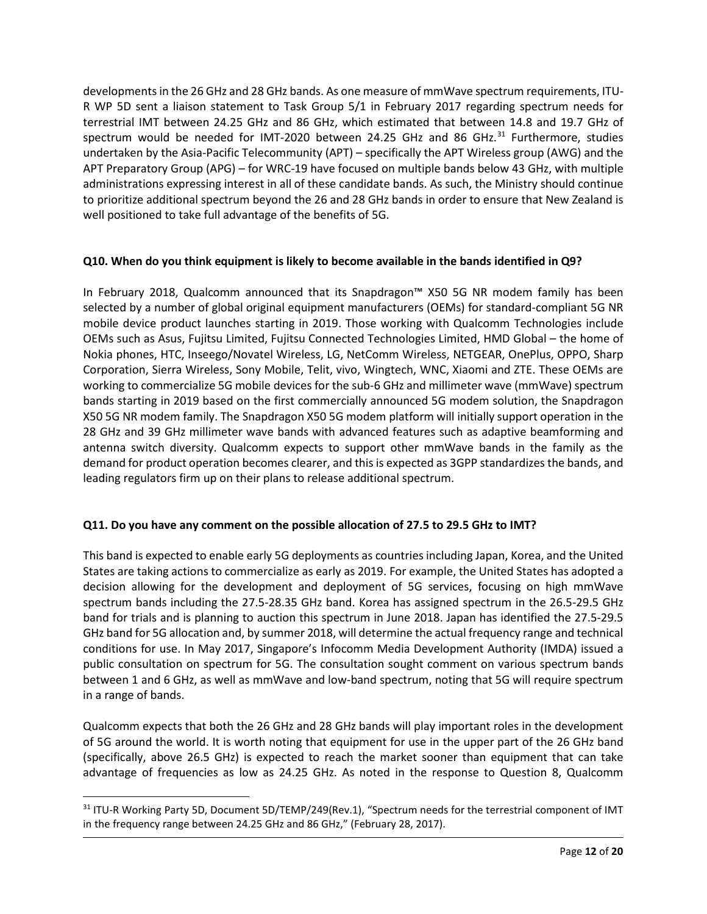developments in the 26 GHz and 28 GHz bands. As one measure of mmWave spectrum requirements, ITU-R WP 5D sent a liaison statement to Task Group 5/1 in February 2017 regarding spectrum needs for terrestrial IMT between 24.25 GHz and 86 GHz, which estimated that between 14.8 and 19.7 GHz of spectrum would be needed for IMT-2020 between 24.25 GHz and 86 GHz.<sup>[31](#page-11-0)</sup> Furthermore, studies undertaken by the Asia-Pacific Telecommunity (APT) – specifically the APT Wireless group (AWG) and the APT Preparatory Group (APG) – for WRC-19 have focused on multiple bands below 43 GHz, with multiple administrations expressing interest in all of these candidate bands. As such, the Ministry should continue to prioritize additional spectrum beyond the 26 and 28 GHz bands in order to ensure that New Zealand is well positioned to take full advantage of the benefits of 5G.

## **Q10. When do you think equipment is likely to become available in the bands identified in Q9?**

In February 2018, Qualcomm announced that its Snapdragon™ X50 5G NR modem family has been selected by a number of global original equipment manufacturers (OEMs) for standard-compliant 5G NR mobile device product launches starting in 2019. Those working with Qualcomm Technologies include OEMs such as Asus, Fujitsu Limited, Fujitsu Connected Technologies Limited, HMD Global – the home of Nokia phones, HTC, Inseego/Novatel Wireless, LG, NetComm Wireless, NETGEAR, OnePlus, OPPO, Sharp Corporation, Sierra Wireless, Sony Mobile, Telit, vivo, Wingtech, WNC, Xiaomi and ZTE. These OEMs are working to commercialize 5G mobile devices for the sub-6 GHz and millimeter wave (mmWave) spectrum bands starting in 2019 based on the first commercially announced 5G modem solution, the Snapdragon X50 5G NR modem family. The Snapdragon X50 5G modem platform will initially support operation in the 28 GHz and 39 GHz millimeter wave bands with advanced features such as adaptive beamforming and antenna switch diversity. Qualcomm expects to support other mmWave bands in the family as the demand for product operation becomes clearer, and this is expected as 3GPP standardizes the bands, and leading regulators firm up on their plans to release additional spectrum.

# **Q11. Do you have any comment on the possible allocation of 27.5 to 29.5 GHz to IMT?**

This band is expected to enable early 5G deployments as countries including Japan, Korea, and the United States are taking actions to commercialize as early as 2019. For example, the United States has adopted a decision allowing for the development and deployment of 5G services, focusing on high mmWave spectrum bands including the 27.5-28.35 GHz band. Korea has assigned spectrum in the 26.5-29.5 GHz band for trials and is planning to auction this spectrum in June 2018. Japan has identified the 27.5-29.5 GHz band for 5G allocation and, by summer 2018, will determine the actual frequency range and technical conditions for use. In May 2017, Singapore's Infocomm Media Development Authority (IMDA) issued a public consultation on spectrum for 5G. The consultation sought comment on various spectrum bands between 1 and 6 GHz, as well as mmWave and low-band spectrum, noting that 5G will require spectrum in a range of bands.

Qualcomm expects that both the 26 GHz and 28 GHz bands will play important roles in the development of 5G around the world. It is worth noting that equipment for use in the upper part of the 26 GHz band (specifically, above 26.5 GHz) is expected to reach the market sooner than equipment that can take advantage of frequencies as low as 24.25 GHz. As noted in the response to Question 8, Qualcomm

 $\overline{a}$ 

<span id="page-11-0"></span><sup>&</sup>lt;sup>31</sup> ITU-R Working Party 5D, Document 5D/TEMP/249(Rev.1), "Spectrum needs for the terrestrial component of IMT in the frequency range between 24.25 GHz and 86 GHz," (February 28, 2017).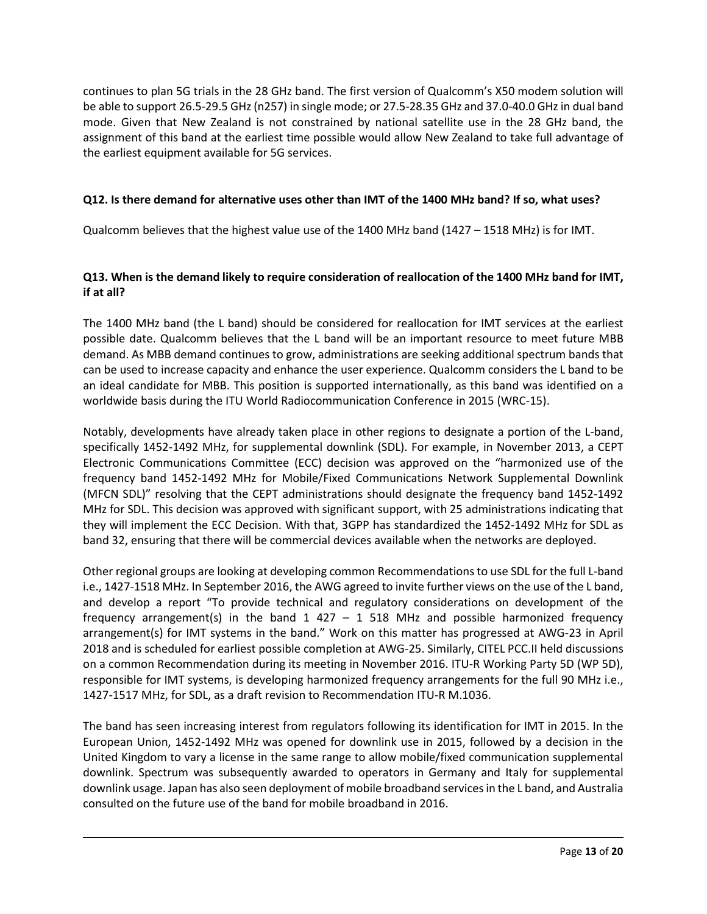continues to plan 5G trials in the 28 GHz band. The first version of Qualcomm's X50 modem solution will be able to support 26.5-29.5 GHz (n257) in single mode; or 27.5-28.35 GHz and 37.0-40.0 GHz in dual band mode. Given that New Zealand is not constrained by national satellite use in the 28 GHz band, the assignment of this band at the earliest time possible would allow New Zealand to take full advantage of the earliest equipment available for 5G services.

## **Q12. Is there demand for alternative uses other than IMT of the 1400 MHz band? If so, what uses?**

Qualcomm believes that the highest value use of the 1400 MHz band (1427 – 1518 MHz) is for IMT.

# **Q13. When is the demand likely to require consideration of reallocation of the 1400 MHz band for IMT, if at all?**

The 1400 MHz band (the L band) should be considered for reallocation for IMT services at the earliest possible date. Qualcomm believes that the L band will be an important resource to meet future MBB demand. As MBB demand continues to grow, administrations are seeking additional spectrum bands that can be used to increase capacity and enhance the user experience. Qualcomm considers the L band to be an ideal candidate for MBB. This position is supported internationally, as this band was identified on a worldwide basis during the ITU World Radiocommunication Conference in 2015 (WRC-15).

Notably, developments have already taken place in other regions to designate a portion of the L-band, specifically 1452-1492 MHz, for supplemental downlink (SDL). For example, in November 2013, a CEPT Electronic Communications Committee (ECC) decision was approved on the "harmonized use of the frequency band 1452-1492 MHz for Mobile/Fixed Communications Network Supplemental Downlink (MFCN SDL)" resolving that the CEPT administrations should designate the frequency band 1452-1492 MHz for SDL. This decision was approved with significant support, with 25 administrations indicating that they will implement the ECC Decision. With that, 3GPP has standardized the 1452-1492 MHz for SDL as band 32, ensuring that there will be commercial devices available when the networks are deployed.

Other regional groups are looking at developing common Recommendations to use SDL for the full L-band i.e., 1427-1518 MHz. In September 2016, the AWG agreed to invite further views on the use of the L band, and develop a report "To provide technical and regulatory considerations on development of the frequency arrangement(s) in the band  $1$  427 – 1 518 MHz and possible harmonized frequency arrangement(s) for IMT systems in the band." Work on this matter has progressed at AWG-23 in April 2018 and is scheduled for earliest possible completion at AWG-25. Similarly, CITEL PCC.II held discussions on a common Recommendation during its meeting in November 2016. ITU-R Working Party 5D (WP 5D), responsible for IMT systems, is developing harmonized frequency arrangements for the full 90 MHz i.e., 1427-1517 MHz, for SDL, as a draft revision to Recommendation ITU-R M.1036.

The band has seen increasing interest from regulators following its identification for IMT in 2015. In the European Union, 1452-1492 MHz was opened for downlink use in 2015, followed by a decision in the United Kingdom to vary a license in the same range to allow mobile/fixed communication supplemental downlink. Spectrum was subsequently awarded to operators in Germany and Italy for supplemental downlink usage. Japan has also seen deployment of mobile broadband services in the L band, and Australia consulted on the future use of the band for mobile broadband in 2016.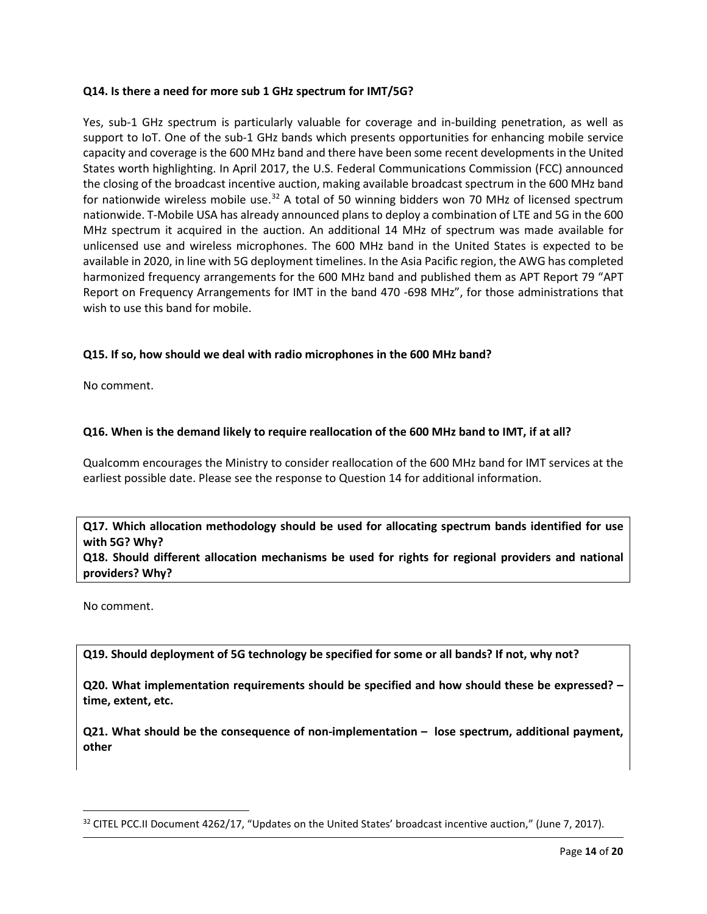## **Q14. Is there a need for more sub 1 GHz spectrum for IMT/5G?**

Yes, sub-1 GHz spectrum is particularly valuable for coverage and in-building penetration, as well as support to IoT. One of the sub-1 GHz bands which presents opportunities for enhancing mobile service capacity and coverage is the 600 MHz band and there have been some recent developments in the United States worth highlighting. In April 2017, the U.S. Federal Communications Commission (FCC) announced the closing of the broadcast incentive auction, making available broadcast spectrum in the 600 MHz band for nationwide wireless mobile use.<sup>32</sup> A total of 50 winning bidders won 70 MHz of licensed spectrum nationwide. T-Mobile USA has already announced plans to deploy a combination of LTE and 5G in the 600 MHz spectrum it acquired in the auction. An additional 14 MHz of spectrum was made available for unlicensed use and wireless microphones. The 600 MHz band in the United States is expected to be available in 2020, in line with 5G deployment timelines. In the Asia Pacific region, the AWG has completed harmonized frequency arrangements for the 600 MHz band and published them as APT Report 79 "APT Report on Frequency Arrangements for IMT in the band 470 -698 MHz", for those administrations that wish to use this band for mobile.

## **Q15. If so, how should we deal with radio microphones in the 600 MHz band?**

No comment.

## **Q16. When is the demand likely to require reallocation of the 600 MHz band to IMT, if at all?**

Qualcomm encourages the Ministry to consider reallocation of the 600 MHz band for IMT services at the earliest possible date. Please see the response to Question 14 for additional information.

# **Q17. Which allocation methodology should be used for allocating spectrum bands identified for use with 5G? Why?**

**Q18. Should different allocation mechanisms be used for rights for regional providers and national providers? Why?**

No comment.

l

**Q19. Should deployment of 5G technology be specified for some or all bands? If not, why not?**

**Q20. What implementation requirements should be specified and how should these be expressed? – time, extent, etc.** 

**Q21. What should be the consequence of non-implementation – lose spectrum, additional payment, other**

<span id="page-13-0"></span><sup>&</sup>lt;sup>32</sup> CITEL PCC.II Document 4262/17, "Updates on the United States' broadcast incentive auction," (June 7, 2017).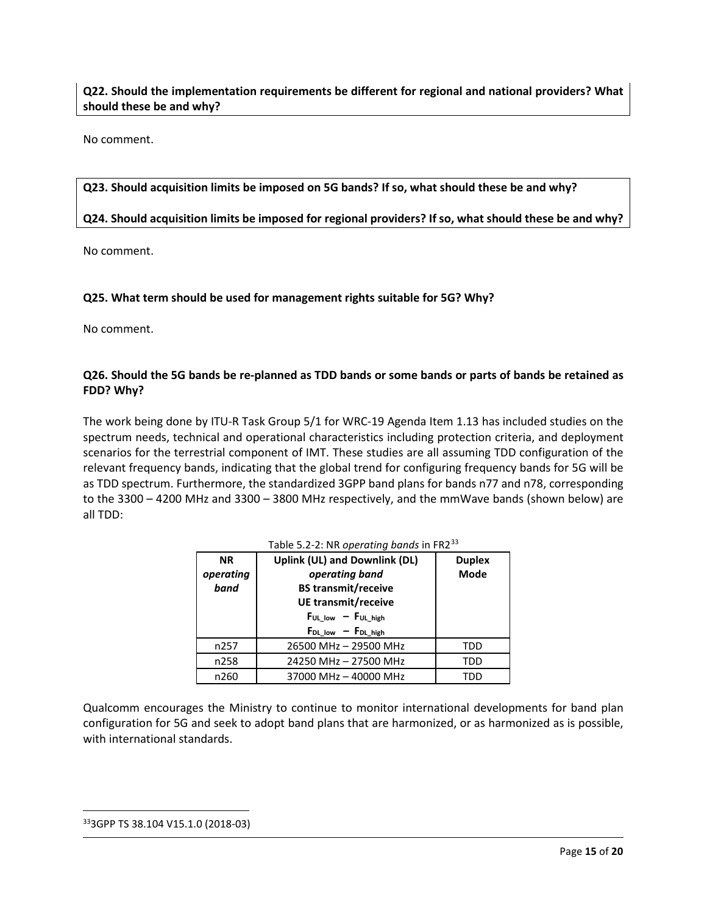# **Q22. Should the implementation requirements be different for regional and national providers? What should these be and why?**

No comment.

## **Q23. Should acquisition limits be imposed on 5G bands? If so, what should these be and why?**

## **Q24. Should acquisition limits be imposed for regional providers? If so, what should these be and why?**

No comment.

## **Q25. What term should be used for management rights suitable for 5G? Why?**

No comment.

## **Q26. Should the 5G bands be re-planned as TDD bands or some bands or parts of bands be retained as FDD? Why?**

The work being done by ITU-R Task Group 5/1 for WRC-19 Agenda Item 1.13 has included studies on the spectrum needs, technical and operational characteristics including protection criteria, and deployment scenarios for the terrestrial component of IMT. These studies are all assuming TDD configuration of the relevant frequency bands, indicating that the global trend for configuring frequency bands for 5G will be as TDD spectrum. Furthermore, the standardized 3GPP band plans for bands n77 and n78, corresponding to the 3300 – 4200 MHz and 3300 – 3800 MHz respectively, and the mmWave bands (shown below) are all TDD:

| <b>NR</b> | <b>Uplink (UL) and Downlink (DL)</b> | <b>Duplex</b> |
|-----------|--------------------------------------|---------------|
| operating | operating band                       | <b>Mode</b>   |
| band      | <b>BS</b> transmit/receive           |               |
|           | UE transmit/receive                  |               |
|           | $F_{UL\_low} - F_{UL\_high}$         |               |
|           | $F_{DL\_low}$ - $F_{DL\_high}$       |               |
| n257      | 26500 MHz - 29500 MHz                | TDD           |
| n258      | 24250 MHz - 27500 MHz                | TDD           |
| n260      | 37000 MHz - 40000 MHz                | חחד           |

Table 5.2-2: NR *operating bands* in FR2[33](#page-14-0)

Qualcomm encourages the Ministry to continue to monitor international developments for band plan configuration for 5G and seek to adopt band plans that are harmonized, or as harmonized as is possible, with international standards.

<span id="page-14-0"></span>333GPP TS 38.104 V15.1.0 (2018-03)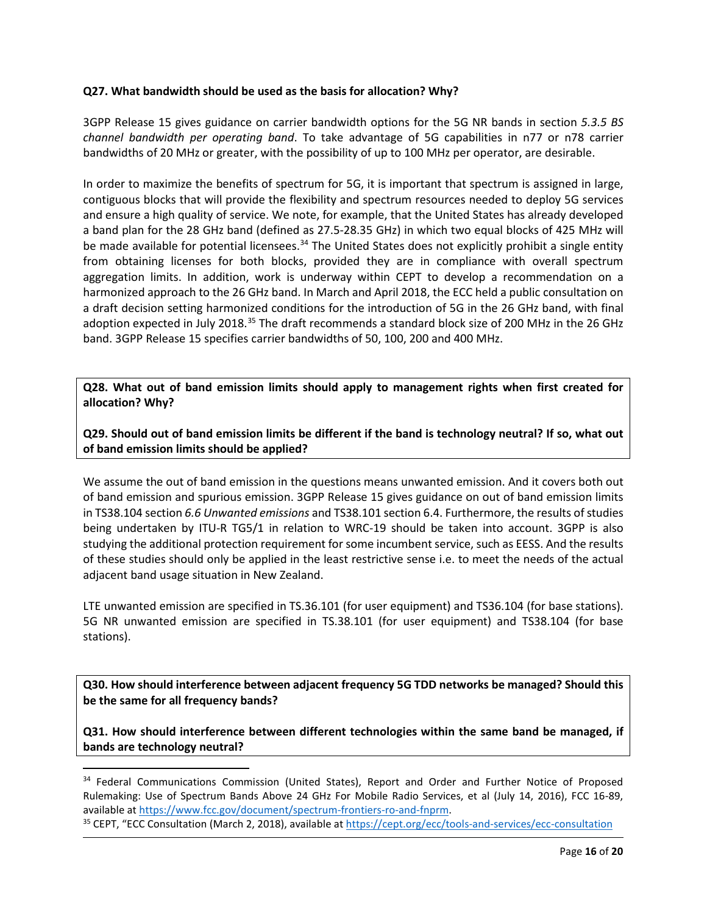## **Q27. What bandwidth should be used as the basis for allocation? Why?**

3GPP Release 15 gives guidance on carrier bandwidth options for the 5G NR bands in section *5.3.5 BS channel bandwidth per operating band*. To take advantage of 5G capabilities in n77 or n78 carrier bandwidths of 20 MHz or greater, with the possibility of up to 100 MHz per operator, are desirable.

In order to maximize the benefits of spectrum for 5G, it is important that spectrum is assigned in large, contiguous blocks that will provide the flexibility and spectrum resources needed to deploy 5G services and ensure a high quality of service. We note, for example, that the United States has already developed a band plan for the 28 GHz band (defined as 27.5-28.35 GHz) in which two equal blocks of 425 MHz will be made available for potential licensees.<sup>[34](#page-15-0)</sup> The United States does not explicitly prohibit a single entity from obtaining licenses for both blocks, provided they are in compliance with overall spectrum aggregation limits. In addition, work is underway within CEPT to develop a recommendation on a harmonized approach to the 26 GHz band. In March and April 2018, the ECC held a public consultation on a draft decision setting harmonized conditions for the introduction of 5G in the 26 GHz band, with final adoption expected in July 2018.<sup>[35](#page-15-1)</sup> The draft recommends a standard block size of 200 MHz in the 26 GHz band. 3GPP Release 15 specifies carrier bandwidths of 50, 100, 200 and 400 MHz.

**Q28. What out of band emission limits should apply to management rights when first created for allocation? Why?**

**Q29. Should out of band emission limits be different if the band is technology neutral? If so, what out of band emission limits should be applied?**

We assume the out of band emission in the questions means unwanted emission. And it covers both out of band emission and spurious emission. 3GPP Release 15 gives guidance on out of band emission limits in TS38.104 section *6.6 Unwanted emissions* and TS38.101 section 6.4. Furthermore, the results of studies being undertaken by ITU-R TG5/1 in relation to WRC-19 should be taken into account. 3GPP is also studying the additional protection requirement for some incumbent service, such as EESS. And the results of these studies should only be applied in the least restrictive sense i.e. to meet the needs of the actual adjacent band usage situation in New Zealand.

LTE unwanted emission are specified in TS.36.101 (for user equipment) and TS36.104 (for base stations). 5G NR unwanted emission are specified in TS.38.101 (for user equipment) and TS38.104 (for base stations).

**Q30. How should interference between adjacent frequency 5G TDD networks be managed? Should this be the same for all frequency bands?**

**Q31. How should interference between different technologies within the same band be managed, if bands are technology neutral?**

<span id="page-15-0"></span><sup>&</sup>lt;sup>34</sup> Federal Communications Commission (United States), Report and Order and Further Notice of Proposed Rulemaking: Use of Spectrum Bands Above 24 GHz For Mobile Radio Services, et al (July 14, 2016), FCC 16-89, available a[t https://www.fcc.gov/document/spectrum-frontiers-ro-and-fnprm.](https://www.fcc.gov/document/spectrum-frontiers-ro-and-fnprm)<br><sup>35</sup> CEPT, "ECC Consultation (March 2, 2018), available at https://cept.org/ecc/tools-and-services/ecc-consultation

<span id="page-15-1"></span>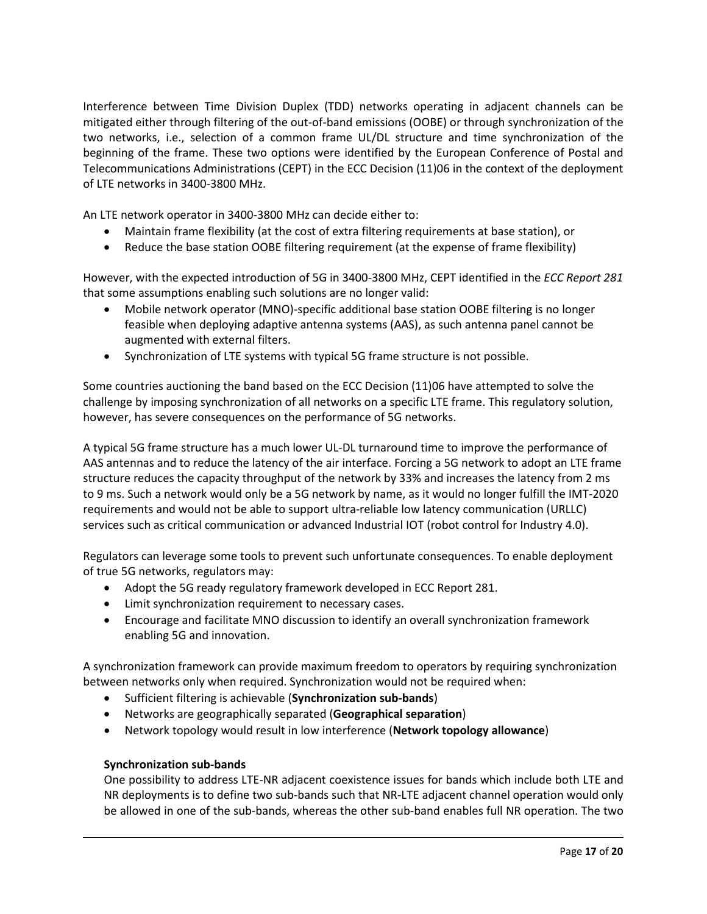Interference between Time Division Duplex (TDD) networks operating in adjacent channels can be mitigated either through filtering of the out-of-band emissions (OOBE) or through synchronization of the two networks, i.e., selection of a common frame UL/DL structure and time synchronization of the beginning of the frame. These two options were identified by the European Conference of Postal and Telecommunications Administrations (CEPT) in the ECC Decision (11)06 in the context of the deployment of LTE networks in 3400-3800 MHz.

An LTE network operator in 3400-3800 MHz can decide either to:

- Maintain frame flexibility (at the cost of extra filtering requirements at base station), or
- Reduce the base station OOBE filtering requirement (at the expense of frame flexibility)

However, with the expected introduction of 5G in 3400-3800 MHz, CEPT identified in the *ECC Report 281* that some assumptions enabling such solutions are no longer valid:

- Mobile network operator (MNO)-specific additional base station OOBE filtering is no longer feasible when deploying adaptive antenna systems (AAS), as such antenna panel cannot be augmented with external filters.
- Synchronization of LTE systems with typical 5G frame structure is not possible.

Some countries auctioning the band based on the ECC Decision (11)06 have attempted to solve the challenge by imposing synchronization of all networks on a specific LTE frame. This regulatory solution, however, has severe consequences on the performance of 5G networks.

A typical 5G frame structure has a much lower UL-DL turnaround time to improve the performance of AAS antennas and to reduce the latency of the air interface. Forcing a 5G network to adopt an LTE frame structure reduces the capacity throughput of the network by 33% and increases the latency from 2 ms to 9 ms. Such a network would only be a 5G network by name, as it would no longer fulfill the IMT-2020 requirements and would not be able to support ultra-reliable low latency communication (URLLC) services such as critical communication or advanced Industrial IOT (robot control for Industry 4.0).

Regulators can leverage some tools to prevent such unfortunate consequences. To enable deployment of true 5G networks, regulators may:

- Adopt the 5G ready regulatory framework developed in ECC Report 281.
- Limit synchronization requirement to necessary cases.
- Encourage and facilitate MNO discussion to identify an overall synchronization framework enabling 5G and innovation.

A synchronization framework can provide maximum freedom to operators by requiring synchronization between networks only when required. Synchronization would not be required when:

- Sufficient filtering is achievable (**Synchronization sub-bands**)
- Networks are geographically separated (**Geographical separation**)
- Network topology would result in low interference (**Network topology allowance**)

## **Synchronization sub-bands**

One possibility to address LTE-NR adjacent coexistence issues for bands which include both LTE and NR deployments is to define two sub-bands such that NR-LTE adjacent channel operation would only be allowed in one of the sub-bands, whereas the other sub-band enables full NR operation. The two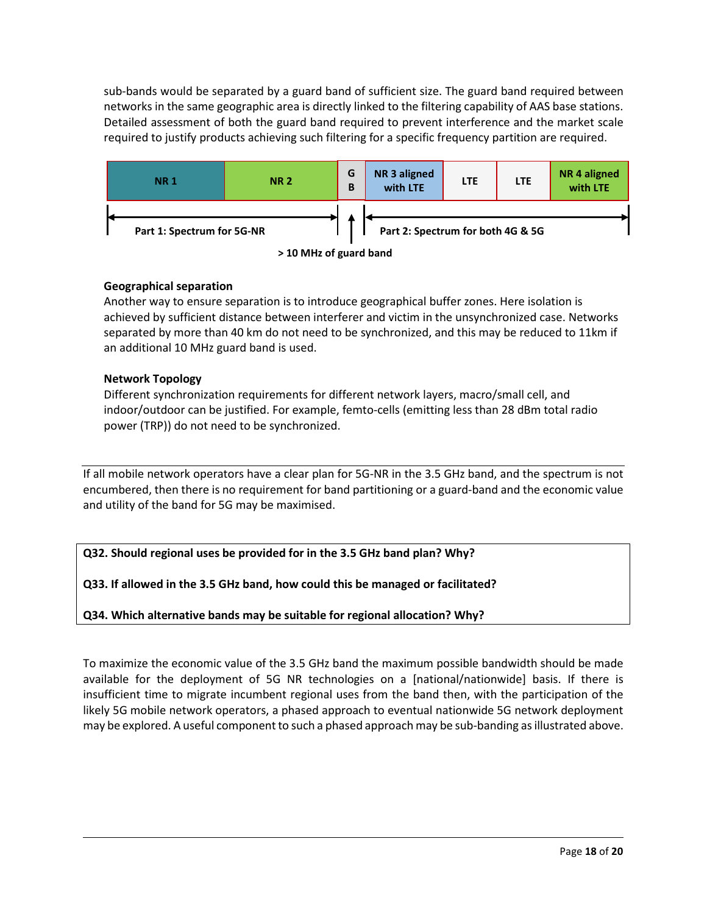sub-bands would be separated by a guard band of sufficient size. The guard band required between networks in the same geographic area is directly linked to the filtering capability of AAS base stations. Detailed assessment of both the guard band required to prevent interference and the market scale required to justify products achieving such filtering for a specific frequency partition are required.



## **Geographical separation**

Another way to ensure separation is to introduce geographical buffer zones. Here isolation is achieved by sufficient distance between interferer and victim in the unsynchronized case. Networks separated by more than 40 km do not need to be synchronized, and this may be reduced to 11km if an additional 10 MHz guard band is used.

## **Network Topology**

Different synchronization requirements for different network layers, macro/small cell, and indoor/outdoor can be justified. For example, femto-cells (emitting less than 28 dBm total radio power (TRP)) do not need to be synchronized.

If all mobile network operators have a clear plan for 5G-NR in the 3.5 GHz band, and the spectrum is not encumbered, then there is no requirement for band partitioning or a guard-band and the economic value and utility of the band for 5G may be maximised.

**Q32. Should regional uses be provided for in the 3.5 GHz band plan? Why?**

**Q33. If allowed in the 3.5 GHz band, how could this be managed or facilitated?** 

**Q34. Which alternative bands may be suitable for regional allocation? Why?**

To maximize the economic value of the 3.5 GHz band the maximum possible bandwidth should be made available for the deployment of 5G NR technologies on a [national/nationwide] basis. If there is insufficient time to migrate incumbent regional uses from the band then, with the participation of the likely 5G mobile network operators, a phased approach to eventual nationwide 5G network deployment may be explored. A useful component to such a phased approach may be sub-banding as illustrated above.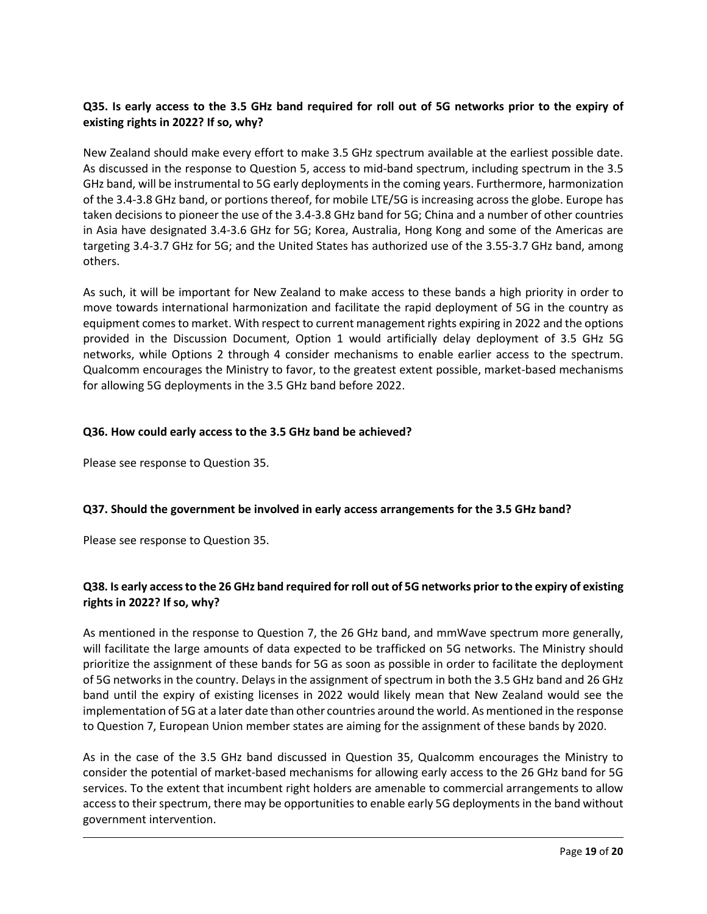# **Q35. Is early access to the 3.5 GHz band required for roll out of 5G networks prior to the expiry of existing rights in 2022? If so, why?**

New Zealand should make every effort to make 3.5 GHz spectrum available at the earliest possible date. As discussed in the response to Question 5, access to mid-band spectrum, including spectrum in the 3.5 GHz band, will be instrumental to 5G early deployments in the coming years. Furthermore, harmonization of the 3.4-3.8 GHz band, or portions thereof, for mobile LTE/5G is increasing across the globe. Europe has taken decisions to pioneer the use of the 3.4-3.8 GHz band for 5G; China and a number of other countries in Asia have designated 3.4-3.6 GHz for 5G; Korea, Australia, Hong Kong and some of the Americas are targeting 3.4-3.7 GHz for 5G; and the United States has authorized use of the 3.55-3.7 GHz band, among others.

As such, it will be important for New Zealand to make access to these bands a high priority in order to move towards international harmonization and facilitate the rapid deployment of 5G in the country as equipment comes to market. With respect to current management rights expiring in 2022 and the options provided in the Discussion Document, Option 1 would artificially delay deployment of 3.5 GHz 5G networks, while Options 2 through 4 consider mechanisms to enable earlier access to the spectrum. Qualcomm encourages the Ministry to favor, to the greatest extent possible, market-based mechanisms for allowing 5G deployments in the 3.5 GHz band before 2022.

## **Q36. How could early access to the 3.5 GHz band be achieved?**

Please see response to Question 35.

# **Q37. Should the government be involved in early access arrangements for the 3.5 GHz band?**

Please see response to Question 35.

# **Q38. Is early access to the 26 GHz band required for roll out of 5G networks prior to the expiry of existing rights in 2022? If so, why?**

As mentioned in the response to Question 7, the 26 GHz band, and mmWave spectrum more generally, will facilitate the large amounts of data expected to be trafficked on 5G networks. The Ministry should prioritize the assignment of these bands for 5G as soon as possible in order to facilitate the deployment of 5G networks in the country. Delays in the assignment of spectrum in both the 3.5 GHz band and 26 GHz band until the expiry of existing licenses in 2022 would likely mean that New Zealand would see the implementation of 5G at a later date than other countries around the world. As mentioned in the response to Question 7, European Union member states are aiming for the assignment of these bands by 2020.

As in the case of the 3.5 GHz band discussed in Question 35, Qualcomm encourages the Ministry to consider the potential of market-based mechanisms for allowing early access to the 26 GHz band for 5G services. To the extent that incumbent right holders are amenable to commercial arrangements to allow access to their spectrum, there may be opportunities to enable early 5G deployments in the band without government intervention.